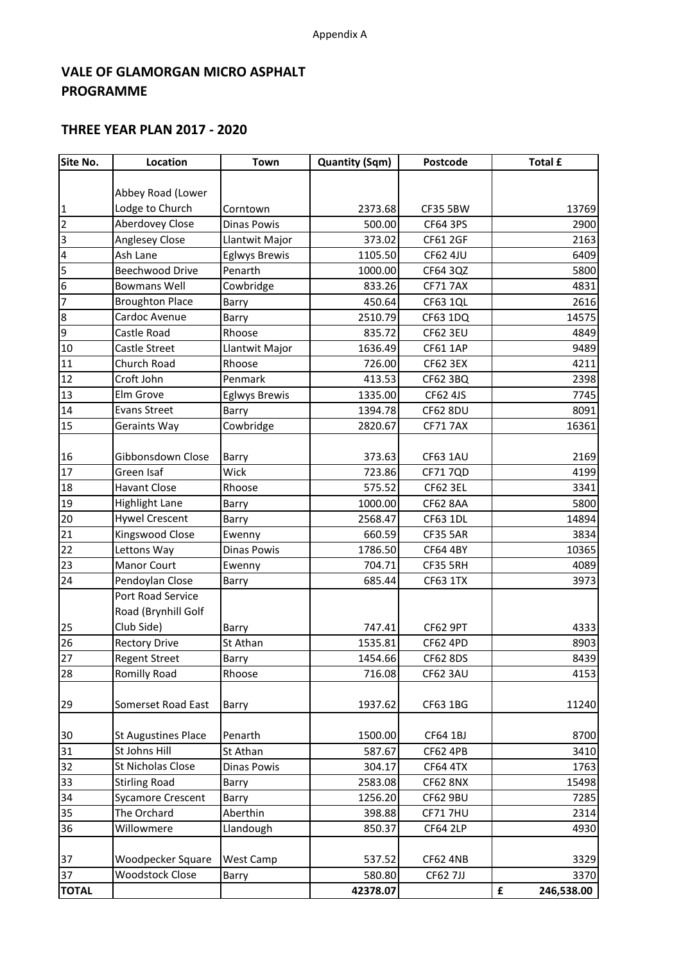# **VALE OF GLAMORGAN MICRO ASPHALT PROGRAMME**

### **THREE YEAR PLAN 2017 - 2020**

| Site No.                | Location                   | Town                 | <b>Quantity (Sqm)</b> | Postcode        | <b>Total £</b>  |
|-------------------------|----------------------------|----------------------|-----------------------|-----------------|-----------------|
|                         |                            |                      |                       |                 |                 |
|                         | Abbey Road (Lower          |                      |                       |                 |                 |
| $\mathbf{1}$            | Lodge to Church            | Corntown             | 2373.68               | <b>CF35 5BW</b> | 13769           |
| $\overline{2}$          | Aberdovey Close            | <b>Dinas Powis</b>   | 500.00                | CF64 3PS        | 2900            |
| $\overline{3}$          | Anglesey Close             | Llantwit Major       | 373.02                | <b>CF61 2GF</b> | 2163            |
| $\overline{\mathbf{4}}$ | Ash Lane                   | <b>Eglwys Brewis</b> | 1105.50               | <b>CF62 4JU</b> | 6409            |
| 5                       | Beechwood Drive            | Penarth              | 1000.00               | CF64 3QZ        | 5800            |
| 6                       | <b>Bowmans Well</b>        | Cowbridge            | 833.26                | <b>CF71 7AX</b> | 4831            |
| 7                       | <b>Broughton Place</b>     | Barry                | 450.64                | <b>CF63 1QL</b> | 2616            |
| 8                       | Cardoc Avenue              | Barry                | 2510.79               | CF63 1DQ        | 14575           |
| $\overline{9}$          | Castle Road                | Rhoose               | 835.72                | <b>CF62 3EU</b> | 4849            |
| 10                      | Castle Street              | Llantwit Major       | 1636.49               | <b>CF61 1AP</b> | 9489            |
| 11                      | Church Road                | Rhoose               | 726.00                | <b>CF62 3EX</b> | 4211            |
| 12                      | Croft John                 | Penmark              | 413.53                | CF62 3BQ        | 2398            |
| 13                      | Elm Grove                  | <b>Eglwys Brewis</b> | 1335.00               | CF62 4JS        | 7745            |
| 14                      | <b>Evans Street</b>        | Barry                | 1394.78               | <b>CF62 8DU</b> | 8091            |
| 15                      | Geraints Way               | Cowbridge            | 2820.67               | <b>CF71 7AX</b> | 16361           |
|                         |                            |                      |                       |                 |                 |
| 16                      | Gibbonsdown Close          | Barry                | 373.63                | <b>CF63 1AU</b> | 2169            |
| 17                      | Green Isaf                 | Wick                 | 723.86                | CF71 7QD        | 4199            |
| 18                      | <b>Havant Close</b>        | Rhoose               | 575.52                | <b>CF62 3EL</b> | 3341            |
| 19                      | <b>Highlight Lane</b>      | Barry                | 1000.00               | <b>CF62 8AA</b> | 5800            |
| 20                      | <b>Hywel Crescent</b>      | Barry                | 2568.47               | <b>CF63 1DL</b> | 14894           |
| 21                      | Kingswood Close            | Ewenny               | 660.59                | <b>CF35 5AR</b> | 3834            |
| 22                      | Lettons Way                | <b>Dinas Powis</b>   | 1786.50               | <b>CF64 4BY</b> | 10365           |
| 23                      | <b>Manor Court</b>         | Ewenny               | 704.71                | CF35 5RH        | 4089            |
| 24                      | Pendoylan Close            | Barry                | 685.44                | <b>CF63 1TX</b> | 3973            |
|                         | Port Road Service          |                      |                       |                 |                 |
|                         | Road (Brynhill Golf        |                      |                       |                 |                 |
| 25                      | Club Side)                 | Barry                | 747.41                | <b>CF62 9PT</b> | 4333            |
| 26                      | <b>Rectory Drive</b>       | St Athan             | 1535.81               | <b>CF62 4PD</b> | 8903            |
| 27                      | <b>Regent Street</b>       | Barry                | 1454.66               | <b>CF62 8DS</b> | 8439            |
| 28                      | Romilly Road               | Rhoose               | 716.08                | CF62 3AU        | 4153            |
|                         |                            |                      |                       |                 |                 |
| 29                      | Somerset Road East         | Barry                | 1937.62               | CF63 1BG        | 11240           |
|                         |                            |                      |                       |                 |                 |
| 30                      | <b>St Augustines Place</b> | Penarth              | 1500.00               | CF64 1BJ        | 8700            |
| 31                      | St Johns Hill              | St Athan             | 587.67                | <b>CF62 4PB</b> | 3410            |
| 32                      | St Nicholas Close          | Dinas Powis          | 304.17                | <b>CF64 4TX</b> | 1763            |
| 33                      | <b>Stirling Road</b>       | Barry                | 2583.08               | <b>CF62 8NX</b> | 15498           |
| 34                      | <b>Sycamore Crescent</b>   | Barry                | 1256.20               | CF62 9BU        | 7285            |
| 35                      | The Orchard                | Aberthin             | 398.88                | <b>CF717HU</b>  | 2314            |
| 36                      | Willowmere                 | Llandough            | 850.37                | <b>CF64 2LP</b> | 4930            |
|                         |                            |                      |                       |                 |                 |
| 37                      | Woodpecker Square          | West Camp            | 537.52                | <b>CF62 4NB</b> | 3329            |
| 37                      | <b>Woodstock Close</b>     | Barry                | 580.80                | <b>CF62 7JJ</b> | 3370            |
| <b>TOTAL</b>            |                            |                      | 42378.07              |                 | £<br>246,538.00 |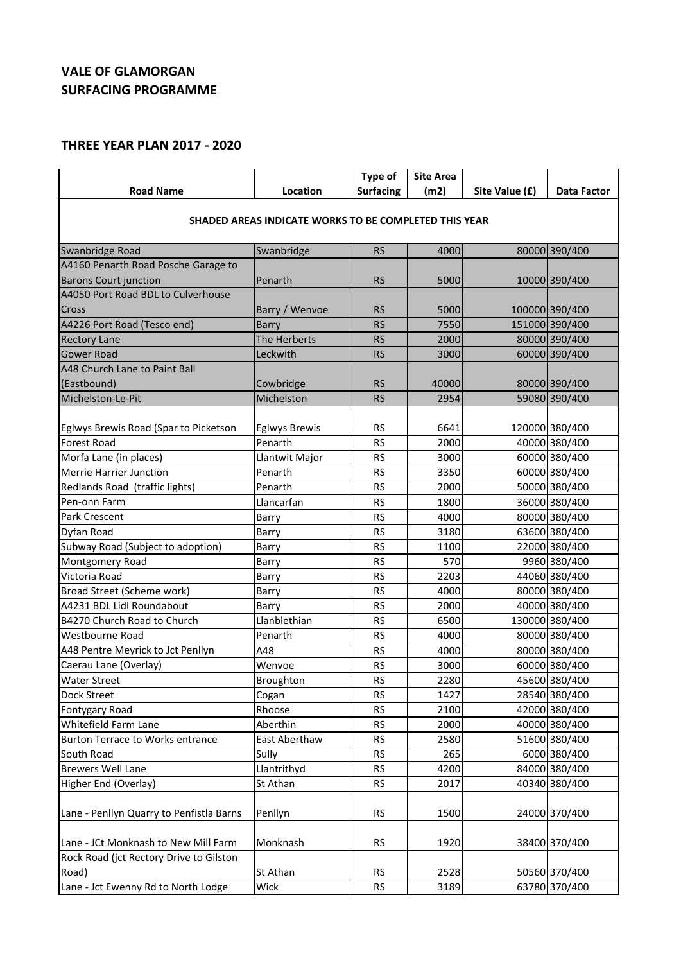## **VALE OF GLAMORGAN SURFACING PROGRAMME**

## **THREE YEAR PLAN 2017 - 2020**

|                                                       |                      | Type of          | <b>Site Area</b> |                |                    |  |
|-------------------------------------------------------|----------------------|------------------|------------------|----------------|--------------------|--|
| <b>Road Name</b>                                      | Location             | <b>Surfacing</b> | (m2)             | Site Value (£) | <b>Data Factor</b> |  |
| SHADED AREAS INDICATE WORKS TO BE COMPLETED THIS YEAR |                      |                  |                  |                |                    |  |
|                                                       |                      |                  |                  |                |                    |  |
| Swanbridge Road                                       | Swanbridge           | <b>RS</b>        | 4000             |                | 80000 390/400      |  |
| A4160 Penarth Road Posche Garage to                   |                      |                  |                  |                |                    |  |
| <b>Barons Court junction</b>                          | Penarth              | <b>RS</b>        | 5000             |                | 10000 390/400      |  |
| A4050 Port Road BDL to Culverhouse                    |                      |                  |                  |                |                    |  |
| Cross                                                 | Barry / Wenvoe       | <b>RS</b>        | 5000             |                | 100000 390/400     |  |
| A4226 Port Road (Tesco end)                           | Barry                | <b>RS</b>        | 7550             |                | 151000 390/400     |  |
| <b>Rectory Lane</b>                                   | The Herberts         | <b>RS</b>        | 2000             |                | 80000 390/400      |  |
| <b>Gower Road</b>                                     | Leckwith             | <b>RS</b>        | 3000             |                | 60000 390/400      |  |
| A48 Church Lane to Paint Ball                         |                      |                  |                  |                |                    |  |
| (Eastbound)                                           | Cowbridge            | <b>RS</b>        | 40000            |                | 80000 390/400      |  |
| Michelston-Le-Pit                                     | Michelston           | <b>RS</b>        | 2954             |                | 59080 390/400      |  |
|                                                       |                      |                  |                  |                |                    |  |
| Eglwys Brewis Road (Spar to Picketson                 | <b>Eglwys Brewis</b> | <b>RS</b>        | 6641             |                | 120000 380/400     |  |
| <b>Forest Road</b>                                    | Penarth              | <b>RS</b>        | 2000             |                | 40000 380/400      |  |
| Morfa Lane (in places)                                | Llantwit Major       | <b>RS</b>        | 3000             |                | 60000 380/400      |  |
| <b>Merrie Harrier Junction</b>                        | Penarth              | <b>RS</b>        | 3350             |                | 60000 380/400      |  |
| Redlands Road (traffic lights)                        | Penarth              | <b>RS</b>        | 2000             |                | 50000 380/400      |  |
| Pen-onn Farm                                          | Llancarfan           | <b>RS</b>        | 1800             |                | 36000 380/400      |  |
| Park Crescent                                         | Barry                | <b>RS</b>        | 4000             |                | 80000 380/400      |  |
| Dyfan Road                                            | Barry                | <b>RS</b>        | 3180             |                | 63600 380/400      |  |
| Subway Road (Subject to adoption)                     | Barry                | <b>RS</b>        | 1100             |                | 22000 380/400      |  |
| Montgomery Road                                       | Barry                | <b>RS</b>        | 570              |                | 9960 380/400       |  |
| Victoria Road                                         | Barry                | <b>RS</b>        | 2203             |                | 44060 380/400      |  |
| Broad Street (Scheme work)                            | Barry                | <b>RS</b>        | 4000             |                | 80000 380/400      |  |
| A4231 BDL Lidl Roundabout                             | Barry                | <b>RS</b>        | 2000             |                | 40000 380/400      |  |
| B4270 Church Road to Church                           | Llanblethian         | <b>RS</b>        | 6500             |                | 130000 380/400     |  |
| Westbourne Road                                       | Penarth              | <b>RS</b>        | 4000             |                | 80000 380/400      |  |
| A48 Pentre Meyrick to Jct Penllyn                     | A48                  | <b>RS</b>        | 4000             |                | 80000 380/400      |  |
| Caerau Lane (Overlay)                                 | Wenvoe               | <b>RS</b>        | 3000             |                | 60000 380/400      |  |
| Water Street                                          | Broughton            | <b>RS</b>        | 2280             |                | 45600 380/400      |  |
| Dock Street                                           | Cogan                | <b>RS</b>        | 1427             |                | 28540 380/400      |  |
| Fontygary Road                                        | Rhoose               | <b>RS</b>        | 2100             |                | 42000 380/400      |  |
| Whitefield Farm Lane                                  | Aberthin             | <b>RS</b>        | 2000             |                | 40000 380/400      |  |
| Burton Terrace to Works entrance                      | East Aberthaw        | <b>RS</b>        | 2580             |                | 51600 380/400      |  |
| South Road                                            | Sully                | <b>RS</b>        | 265              |                | 6000 380/400       |  |
| <b>Brewers Well Lane</b>                              | Llantrithyd          | <b>RS</b>        | 4200             |                | 84000 380/400      |  |
| Higher End (Overlay)                                  | St Athan             | <b>RS</b>        | 2017             |                | 40340 380/400      |  |
|                                                       |                      |                  |                  |                |                    |  |
| Lane - Penllyn Quarry to Penfistla Barns              | Penllyn              | <b>RS</b>        | 1500             |                | 24000 370/400      |  |
|                                                       |                      |                  |                  |                |                    |  |
| Lane - JCt Monknash to New Mill Farm                  | Monknash             | <b>RS</b>        | 1920             |                | 38400 370/400      |  |
| Rock Road (jct Rectory Drive to Gilston               |                      |                  |                  |                |                    |  |
| Road)                                                 | St Athan             | <b>RS</b>        | 2528             |                | 50560 370/400      |  |
| Lane - Jct Ewenny Rd to North Lodge                   | Wick                 | <b>RS</b>        | 3189             |                | 63780 370/400      |  |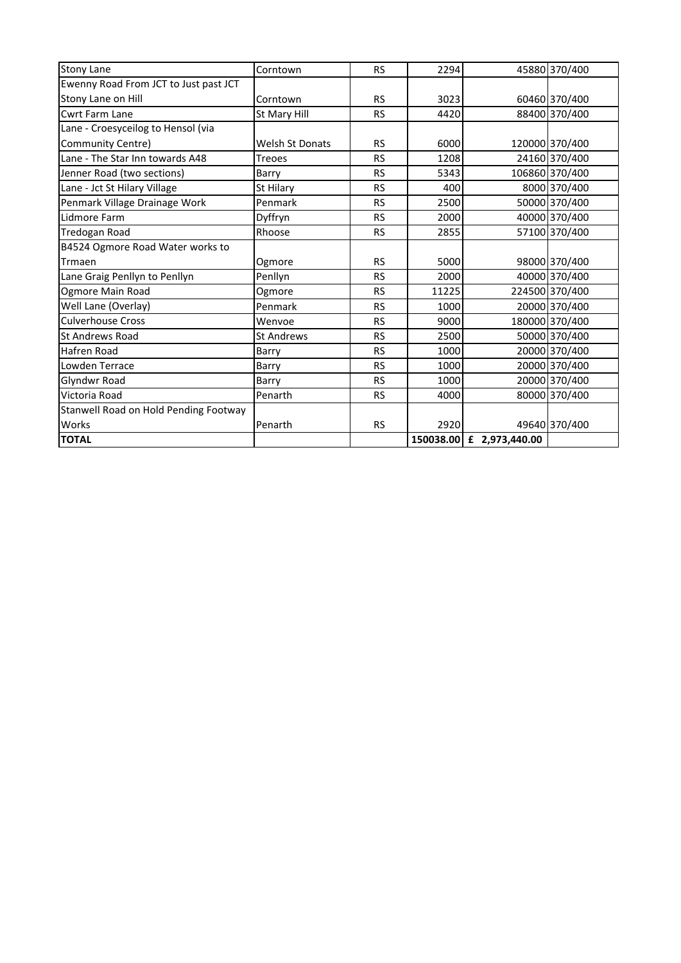| <b>Stony Lane</b>                     | Corntown               | <b>RS</b> | 2294  |                          | 45880 370/400  |
|---------------------------------------|------------------------|-----------|-------|--------------------------|----------------|
| Ewenny Road From JCT to Just past JCT |                        |           |       |                          |                |
| Stony Lane on Hill                    | Corntown               | <b>RS</b> | 3023  |                          | 60460 370/400  |
| Cwrt Farm Lane                        | St Mary Hill           | <b>RS</b> | 4420  |                          | 88400 370/400  |
| Lane - Croesyceilog to Hensol (via    |                        |           |       |                          |                |
| Community Centre)                     | <b>Welsh St Donats</b> | <b>RS</b> | 6000  |                          | 120000 370/400 |
| Lane - The Star Inn towards A48       | <b>Treoes</b>          | <b>RS</b> | 1208  |                          | 24160 370/400  |
| Jenner Road (two sections)            | Barry                  | <b>RS</b> | 5343  |                          | 106860 370/400 |
| Lane - Jct St Hilary Village          | St Hilary              | <b>RS</b> | 400   |                          | 8000 370/400   |
| Penmark Village Drainage Work         | Penmark                | <b>RS</b> | 2500  |                          | 50000 370/400  |
| Lidmore Farm                          | Dyffryn                | <b>RS</b> | 2000  |                          | 40000 370/400  |
| <b>Tredogan Road</b>                  | Rhoose                 | <b>RS</b> | 2855  |                          | 57100 370/400  |
| B4524 Ogmore Road Water works to      |                        |           |       |                          |                |
| Trmaen                                | Ogmore                 | <b>RS</b> | 5000  |                          | 98000 370/400  |
| Lane Graig Penllyn to Penllyn         | Penllyn                | <b>RS</b> | 2000  |                          | 40000 370/400  |
| Ogmore Main Road                      | Ogmore                 | <b>RS</b> | 11225 |                          | 224500 370/400 |
| Well Lane (Overlay)                   | Penmark                | <b>RS</b> | 1000  |                          | 20000 370/400  |
| <b>Culverhouse Cross</b>              | Wenvoe                 | <b>RS</b> | 9000  |                          | 180000 370/400 |
| <b>St Andrews Road</b>                | <b>St Andrews</b>      | <b>RS</b> | 2500  |                          | 50000 370/400  |
| Hafren Road                           | Barry                  | <b>RS</b> | 1000  |                          | 20000 370/400  |
| Lowden Terrace                        | Barry                  | <b>RS</b> | 1000  |                          | 20000 370/400  |
| Glyndwr Road                          | Barry                  | <b>RS</b> | 1000  |                          | 20000 370/400  |
| Victoria Road                         | Penarth                | <b>RS</b> | 4000  |                          | 80000 370/400  |
| Stanwell Road on Hold Pending Footway |                        |           |       |                          |                |
| Works                                 | Penarth                | <b>RS</b> | 2920  |                          | 49640 370/400  |
| <b>TOTAL</b>                          |                        |           |       | 150038.00 £ 2,973,440.00 |                |